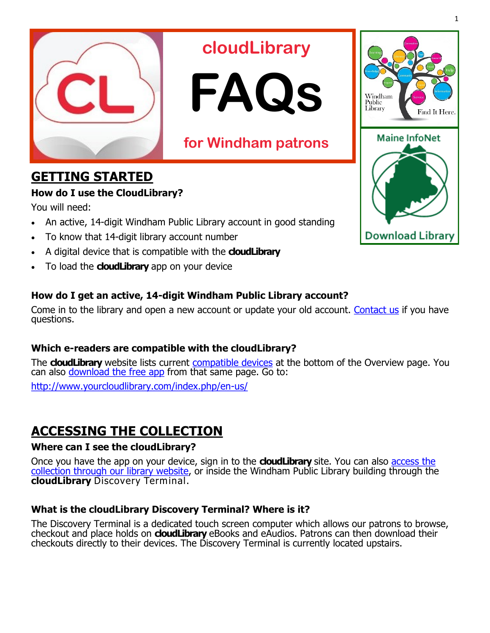

# **cloudLibrary**



# **for Windham patrons**

## **GETTING STARTED**

### **How do I use the CloudLibrary?**

You will need:

- An active, 14-digit Windham Public Library account in good standing
- To know that 14-digit library account number
- A digital device that is compatible with the **cloudLibrary**
- To load the **cloudLibrary** app on your device

## **How do I get an active, 14-digit Windham Public Library account?**

Come in to the library and open a new account or update your old account. [Contact us](http://www.windham.lib.me.us/contact-us) if you have questions.

## **Which e-readers are compatible with the cloudLibrary?**

The **cloudLibrary** website lists current [compatible devices](http://www.yourcloudlibrary.com/index.php/en-us/) at the bottom of the Overview page. You can also [download the free app](http://www.yourcloudlibrary.com/index.php/en-us/) from that same page. Go to:

[http://www.yourcloudlibrary.com/index.php/en](http://www.yourcloudlibrary.com/index.php/en-us/)-us/

## **ACCESSING THE COLLECTION**

## **Where can I see the cloudLibrary?**

Once you have the app on your device, sign in to the **cloudLibrary** site. You can also [access the](http://www.windham.lib.me.us/download-library)  [collection through our library website,](http://www.windham.lib.me.us/download-library) or inside the Windham Public Library building through the **cloudLibrary** Discovery Terminal.

## **What is the cloudLibrary Discovery Terminal? Where is it?**

The Discovery Terminal is a dedicated touch screen computer which allows our patrons to browse, checkout and place holds on **cloudLibrary** eBooks and eAudios. Patrons can then download their checkouts directly to their devices. The Discovery Terminal is currently located upstairs.



1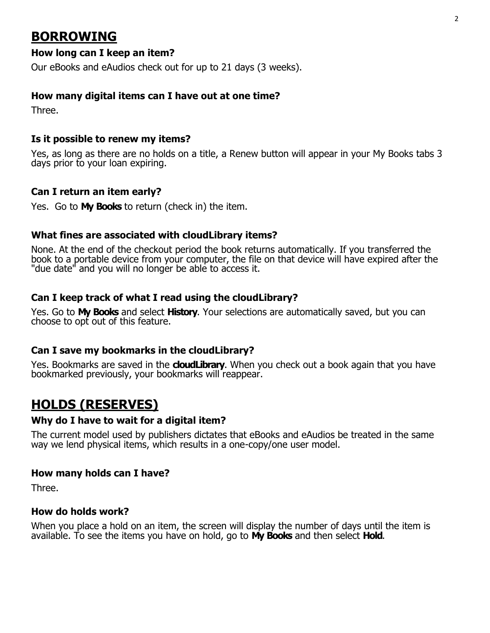## **BORROWING**

#### **How long can I keep an item?**

Our eBooks and eAudios check out for up to 21 days (3 weeks).

#### **How many digital items can I have out at one time?**

Three.

#### **Is it possible to renew my items?**

Yes, as long as there are no holds on a title, a Renew button will appear in your My Books tabs 3 days prior to your loan expiring.

#### **Can I return an item early?**

Yes. Go to **My Books** to return (check in) the item.

#### **What fines are associated with cloudLibrary items?**

None. At the end of the checkout period the book returns automatically. If you transferred the book to a portable device from your computer, the file on that device will have expired after the "due date" and you will no longer be able to access it.

#### **Can I keep track of what I read using the cloudLibrary?**

Yes. Go to **My Books** and select **History**. Your selections are automatically saved, but you can choose to opt out of this feature.

#### **Can I save my bookmarks in the cloudLibrary?**

Yes. Bookmarks are saved in the **cloudLibrary**. When you check out a book again that you have bookmarked previously, your bookmarks will reappear.

## **HOLDS (RESERVES)**

#### **Why do I have to wait for a digital item?**

The current model used by publishers dictates that eBooks and eAudios be treated in the same way we lend physical items, which results in a one-copy/one user model.

#### **How many holds can I have?**

Three.

#### **How do holds work?**

When you place a hold on an item, the screen will display the number of days until the item is available. To see the items you have on hold, go to **My Books** and then select **Hold**.